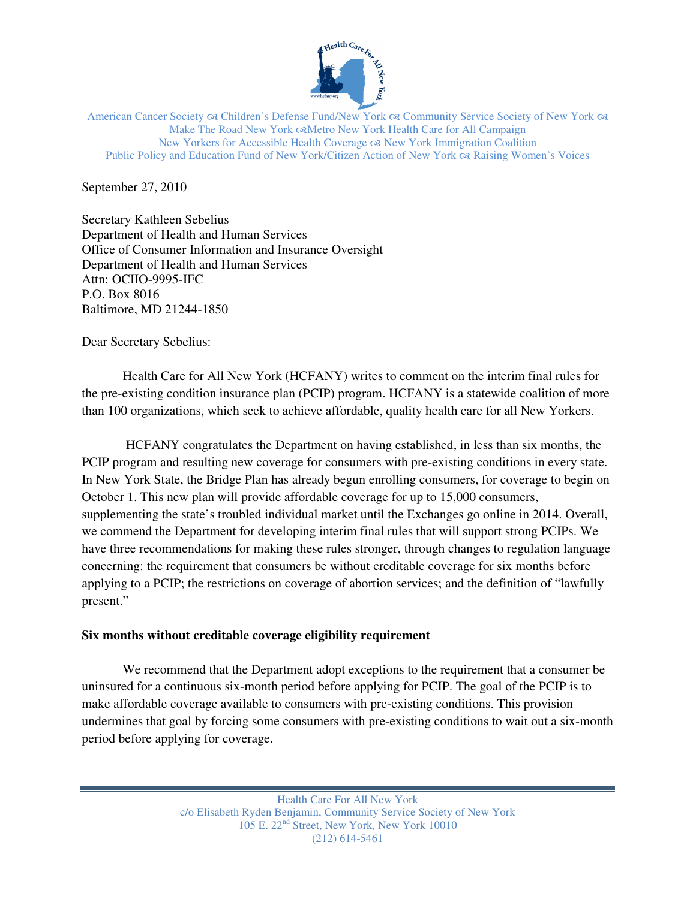

American Cancer Society & Children's Defense Fund/New York & Community Service Society of New York & Make The Road New York  $\infty$ Metro New York Health Care for All Campaign New Yorkers for Accessible Health Coverage New York Immigration Coalition Public Policy and Education Fund of New York/Citizen Action of New York  $\alpha$ Raising Women's Voices

September 27, 2010

Secretary Kathleen Sebelius Department of Health and Human Services Office of Consumer Information and Insurance Oversight Department of Health and Human Services Attn: OCIIO-9995-IFC P.O. Box 8016 Baltimore, MD 21244-1850

Dear Secretary Sebelius:

Health Care for All New York (HCFANY) writes to comment on the interim final rules for the pre-existing condition insurance plan (PCIP) program. HCFANY is a statewide coalition of more than 100 organizations, which seek to achieve affordable, quality health care for all New Yorkers.

 HCFANY congratulates the Department on having established, in less than six months, the PCIP program and resulting new coverage for consumers with pre-existing conditions in every state. In New York State, the Bridge Plan has already begun enrolling consumers, for coverage to begin on October 1. This new plan will provide affordable coverage for up to 15,000 consumers, supplementing the state's troubled individual market until the Exchanges go online in 2014. Overall, we commend the Department for developing interim final rules that will support strong PCIPs. We have three recommendations for making these rules stronger, through changes to regulation language concerning: the requirement that consumers be without creditable coverage for six months before applying to a PCIP; the restrictions on coverage of abortion services; and the definition of "lawfully present."

## **Six months without creditable coverage eligibility requirement**

 We recommend that the Department adopt exceptions to the requirement that a consumer be uninsured for a continuous six-month period before applying for PCIP. The goal of the PCIP is to make affordable coverage available to consumers with pre-existing conditions. This provision undermines that goal by forcing some consumers with pre-existing conditions to wait out a six-month period before applying for coverage.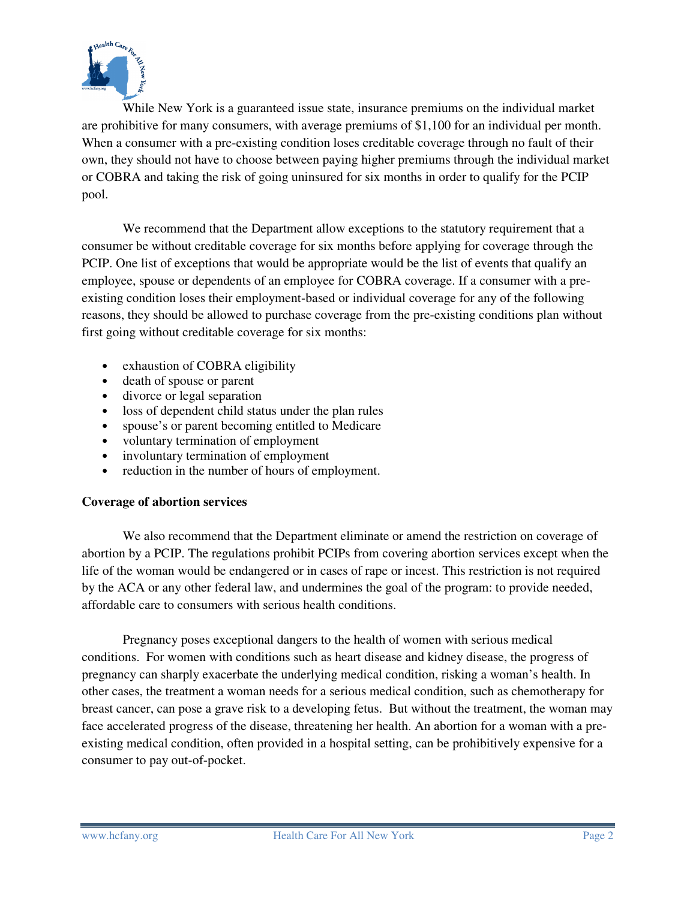

While New York is a guaranteed issue state, insurance premiums on the individual market are prohibitive for many consumers, with average premiums of \$1,100 for an individual per month. When a consumer with a pre-existing condition loses creditable coverage through no fault of their own, they should not have to choose between paying higher premiums through the individual market or COBRA and taking the risk of going uninsured for six months in order to qualify for the PCIP pool.

 We recommend that the Department allow exceptions to the statutory requirement that a consumer be without creditable coverage for six months before applying for coverage through the PCIP. One list of exceptions that would be appropriate would be the list of events that qualify an employee, spouse or dependents of an employee for COBRA coverage. If a consumer with a preexisting condition loses their employment-based or individual coverage for any of the following reasons, they should be allowed to purchase coverage from the pre-existing conditions plan without first going without creditable coverage for six months:

- exhaustion of COBRA eligibility
- death of spouse or parent
- divorce or legal separation
- loss of dependent child status under the plan rules
- spouse's or parent becoming entitled to Medicare
- voluntary termination of employment
- involuntary termination of employment
- reduction in the number of hours of employment.

## **Coverage of abortion services**

 We also recommend that the Department eliminate or amend the restriction on coverage of abortion by a PCIP. The regulations prohibit PCIPs from covering abortion services except when the life of the woman would be endangered or in cases of rape or incest. This restriction is not required by the ACA or any other federal law, and undermines the goal of the program: to provide needed, affordable care to consumers with serious health conditions.

 Pregnancy poses exceptional dangers to the health of women with serious medical conditions. For women with conditions such as heart disease and kidney disease, the progress of pregnancy can sharply exacerbate the underlying medical condition, risking a woman's health. In other cases, the treatment a woman needs for a serious medical condition, such as chemotherapy for breast cancer, can pose a grave risk to a developing fetus. But without the treatment, the woman may face accelerated progress of the disease, threatening her health. An abortion for a woman with a preexisting medical condition, often provided in a hospital setting, can be prohibitively expensive for a consumer to pay out-of-pocket.